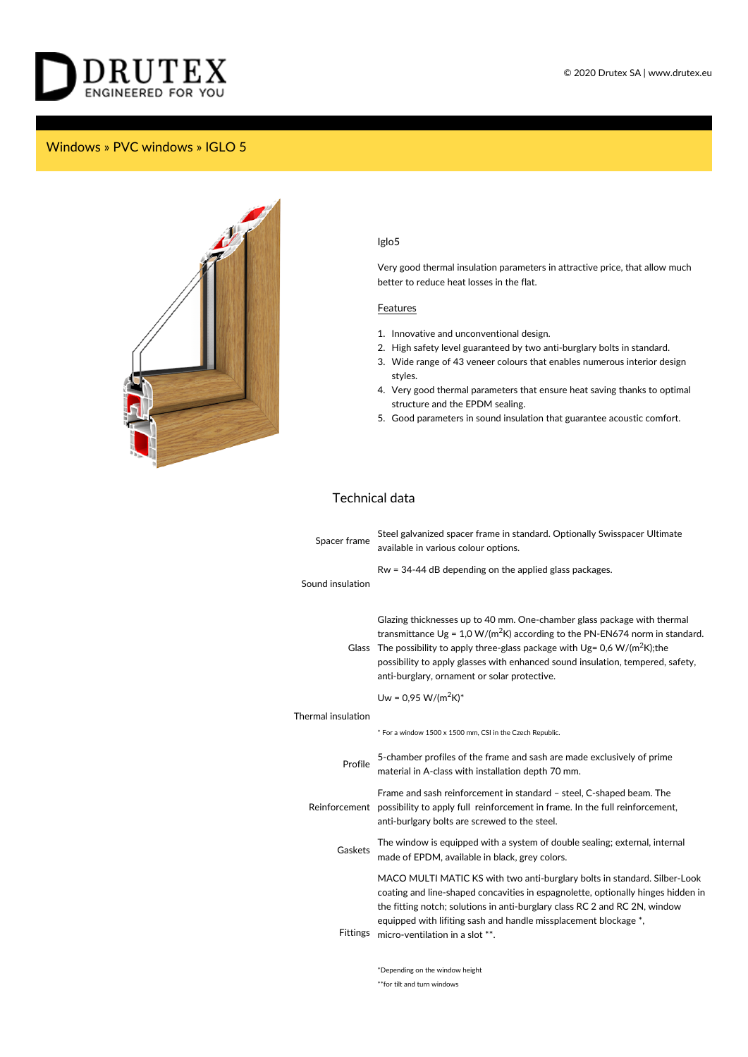

## Windows » PVC windows » IGLO 5



## Iglo5

Very good thermal insulation parameters in attractive price, that allow much better to reduce heat losses in the flat.

## **Features**

- 1. Innovative and unconventional design.
- 2. High safety level guaranteed by two anti-burglary bolts in standard.
- 3. Wide range of 43 veneer colours that enables numerous interior design styles.
- 4. Very good thermal parameters that ensure heat saving thanks to optimal structure and the EPDM sealing.
- 5. Good parameters in sound insulation that guarantee acoustic comfort.

## Technical data

| Spacer frame       | Steel galvanized spacer frame in standard. Optionally Swisspacer Ultimate<br>available in various colour options.                                                                                                                                                                                                                                                         |
|--------------------|---------------------------------------------------------------------------------------------------------------------------------------------------------------------------------------------------------------------------------------------------------------------------------------------------------------------------------------------------------------------------|
| Sound insulation   | $Rw = 34-44$ dB depending on the applied glass packages.                                                                                                                                                                                                                                                                                                                  |
| <b>Glass</b>       | Glazing thicknesses up to 40 mm. One-chamber glass package with thermal<br>transmittance $Ug = 1.0 W/(m^2 K)$ according to the PN-EN674 norm in standard.<br>The possibility to apply three-glass package with $Ug = 0.6 W/(m^2K);$ the<br>possibility to apply glasses with enhanced sound insulation, tempered, safety,<br>anti-burglary, ornament or solar protective. |
|                    | Uw = $0.95$ W/(m <sup>2</sup> K) <sup>*</sup>                                                                                                                                                                                                                                                                                                                             |
| Thermal insulation |                                                                                                                                                                                                                                                                                                                                                                           |
|                    | * For a window 1500 x 1500 mm, CSI in the Czech Republic.                                                                                                                                                                                                                                                                                                                 |
| Profile            | 5-chamber profiles of the frame and sash are made exclusively of prime<br>material in A-class with installation depth 70 mm.                                                                                                                                                                                                                                              |
|                    | Frame and sash reinforcement in standard - steel, C-shaped beam. The<br>Reinforcement possibility to apply full reinforcement in frame. In the full reinforcement,<br>anti-burlgary bolts are screwed to the steel.                                                                                                                                                       |
| Gaskets            | The window is equipped with a system of double sealing; external, internal<br>made of EPDM, available in black, grey colors.                                                                                                                                                                                                                                              |
| <b>Fittings</b>    | MACO MULTI MATIC KS with two anti-burglary bolts in standard. Silber-Look<br>coating and line-shaped concavities in espagnolette, optionally hinges hidden in<br>the fitting notch; solutions in anti-burglary class RC 2 and RC 2N, window<br>equipped with lifiting sash and handle missplacement blockage *,<br>micro-ventilation in a slot **.                        |
|                    |                                                                                                                                                                                                                                                                                                                                                                           |

\*Depending on the window height \*\*for tilt and turn windows